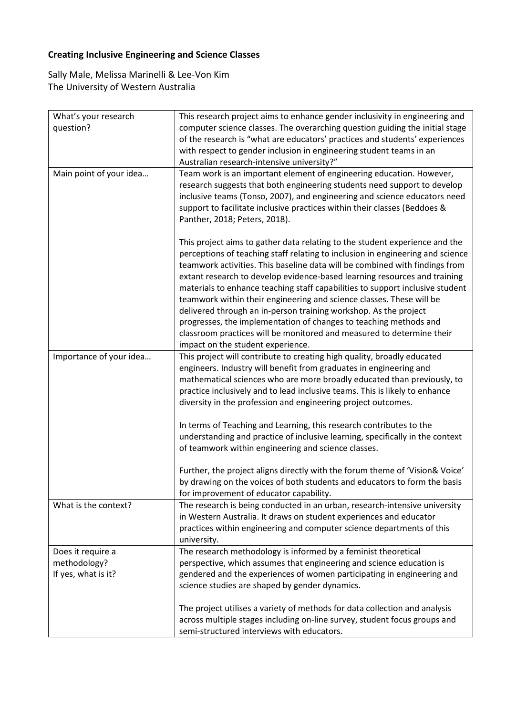## **Creating Inclusive Engineering and Science Classes**

Sally Male, Melissa Marinelli & Lee-Von Kim The University of Western Australia

| What's your research    | This research project aims to enhance gender inclusivity in engineering and    |
|-------------------------|--------------------------------------------------------------------------------|
| question?               | computer science classes. The overarching question guiding the initial stage   |
|                         | of the research is "what are educators' practices and students' experiences    |
|                         | with respect to gender inclusion in engineering student teams in an            |
|                         | Australian research-intensive university?"                                     |
| Main point of your idea | Team work is an important element of engineering education. However,           |
|                         | research suggests that both engineering students need support to develop       |
|                         | inclusive teams (Tonso, 2007), and engineering and science educators need      |
|                         |                                                                                |
|                         | support to facilitate inclusive practices within their classes (Beddoes &      |
|                         | Panther, 2018; Peters, 2018).                                                  |
|                         |                                                                                |
|                         | This project aims to gather data relating to the student experience and the    |
|                         | perceptions of teaching staff relating to inclusion in engineering and science |
|                         | teamwork activities. This baseline data will be combined with findings from    |
|                         | extant research to develop evidence-based learning resources and training      |
|                         | materials to enhance teaching staff capabilities to support inclusive student  |
|                         | teamwork within their engineering and science classes. These will be           |
|                         | delivered through an in-person training workshop. As the project               |
|                         | progresses, the implementation of changes to teaching methods and              |
|                         | classroom practices will be monitored and measured to determine their          |
|                         | impact on the student experience.                                              |
| Importance of your idea | This project will contribute to creating high quality, broadly educated        |
|                         | engineers. Industry will benefit from graduates in engineering and             |
|                         | mathematical sciences who are more broadly educated than previously, to        |
|                         | practice inclusively and to lead inclusive teams. This is likely to enhance    |
|                         | diversity in the profession and engineering project outcomes.                  |
|                         |                                                                                |
|                         | In terms of Teaching and Learning, this research contributes to the            |
|                         | understanding and practice of inclusive learning, specifically in the context  |
|                         | of teamwork within engineering and science classes.                            |
|                         |                                                                                |
|                         | Further, the project aligns directly with the forum theme of 'Vision& Voice'   |
|                         | by drawing on the voices of both students and educators to form the basis      |
|                         | for improvement of educator capability.                                        |
| What is the context?    | The research is being conducted in an urban, research-intensive university     |
|                         | in Western Australia. It draws on student experiences and educator             |
|                         | practices within engineering and computer science departments of this          |
|                         | university.                                                                    |
| Does it require a       | The research methodology is informed by a feminist theoretical                 |
| methodology?            | perspective, which assumes that engineering and science education is           |
| If yes, what is it?     | gendered and the experiences of women participating in engineering and         |
|                         | science studies are shaped by gender dynamics.                                 |
|                         |                                                                                |
|                         | The project utilises a variety of methods for data collection and analysis     |
|                         |                                                                                |
|                         | across multiple stages including on-line survey, student focus groups and      |
|                         | semi-structured interviews with educators.                                     |